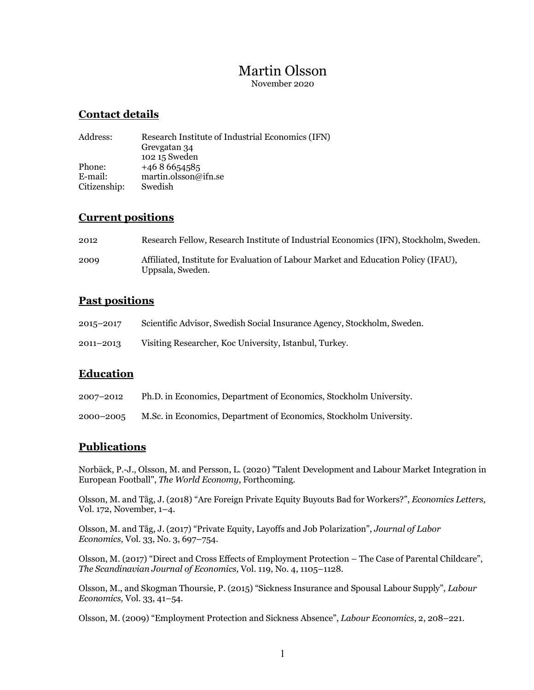# Martin Olsson

November 2020

### **Contact details**

| Address:     | Research Institute of Industrial Economics (IFN) |
|--------------|--------------------------------------------------|
|              | Grevgatan 34                                     |
|              | 102 15 Sweden                                    |
| Phone:       | $+4686654585$                                    |
| E-mail:      | martin.olsson@ifn.se                             |
| Citizenship: | Swedish                                          |

### **Current positions**

| 2012 | Research Fellow, Research Institute of Industrial Economics (IFN), Stockholm, Sweden.                  |
|------|--------------------------------------------------------------------------------------------------------|
| 2009 | Affiliated, Institute for Evaluation of Labour Market and Education Policy (IFAU),<br>Uppsala, Sweden. |

### **Past positions**

| 2015-2017 | Scientific Advisor, Swedish Social Insurance Agency, Stockholm, Sweden. |
|-----------|-------------------------------------------------------------------------|
|           |                                                                         |

2011–2013 Visiting Researcher, Koc University, Istanbul, Turkey.

### **Education**

- 2007–2012 Ph.D. in Economics, Department of Economics, Stockholm University.
- 2000–2005 M.Sc. in Economics, Department of Economics, Stockholm University.

### **Publications**

Norbäck, P.-J., Olsson, M. and Persson, L. (2020) "Talent Development and Labour Market Integration in European Football", *The World Economy*, Forthcoming.

Olsson, M. and Tåg, J. (2018) "Are Foreign Private Equity Buyouts Bad for Workers?", *Economics Letters,* Vol. 172, November, 1–4.

Olsson, M. and Tåg, J. (2017) "Private Equity, Layoffs and Job Polarization", *Journal of Labor Economics,* Vol. 33, No. 3, 697–754.

Olsson, M. (2017) "Direct and Cross Effects of Employment Protection – The Case of Parental Childcare", *The Scandinavian Journal of Economics,* Vol. 119, No. 4, 1105–1128.

Olsson, M., and Skogman Thoursie, P. (2015) "Sickness Insurance and Spousal Labour Supply", *Labour Economics,* Vol. 33, 41–54.

Olsson, M. (2009) "Employment Protection and Sickness Absence", *Labour Economics*, 2, 208–221.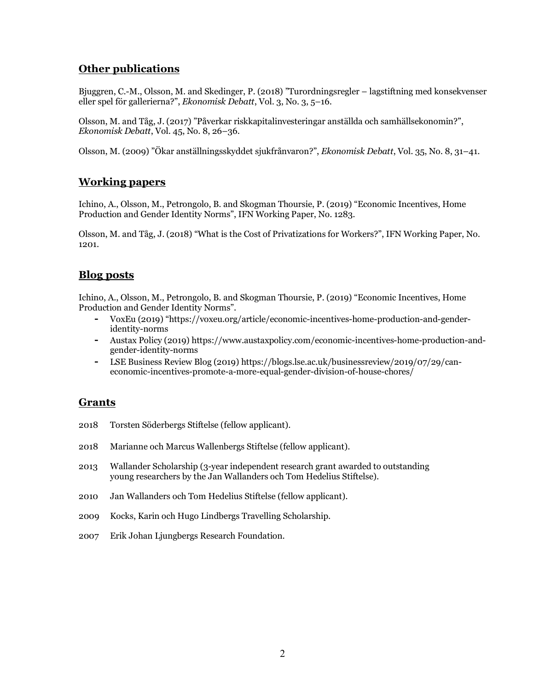# **Other publications**

Bjuggren, C.-M., Olsson, M. and Skedinger, P. (2018) "Turordningsregler – lagstiftning med konsekvenser eller spel för gallerierna?", *Ekonomisk Debatt*, Vol. 3, No. 3, 5–16.

Olsson, M. and Tåg, J. (2017) "Påverkar riskkapitalinvesteringar anställda och samhällsekonomin?", *Ekonomisk Debatt*, Vol. 45, No. 8, 26–36.

Olsson, M. (2009) "Ökar anställningsskyddet sjukfrånvaron?", *Ekonomisk Debatt*, Vol. 35, No. 8, 31–41.

# **Working papers**

Ichino, A., Olsson, M., Petrongolo, B. and Skogman Thoursie, P. (2019) "Economic Incentives, Home Production and Gender Identity Norms", IFN Working Paper, No. 1283.

Olsson, M. and Tåg, J. (2018) "What is the Cost of Privatizations for Workers?", IFN Working Paper, No. 1201.

### **Blog posts**

Ichino, A., Olsson, M., Petrongolo, B. and Skogman Thoursie, P. (2019) "Economic Incentives, Home Production and Gender Identity Norms".

- **-** VoxEu (2019) "https://voxeu.org/article/economic-incentives-home-production-and-genderidentity-norms
- **-** Austax Policy (2019) https://www.austaxpolicy.com/economic-incentives-home-production-andgender-identity-norms
- **-** LSE Business Review Blog (2019) https://blogs.lse.ac.uk/businessreview/2019/07/29/caneconomic-incentives-promote-a-more-equal-gender-division-of-house-chores/

### **Grants**

- 2018 Torsten Söderbergs Stiftelse (fellow applicant).
- 2018 Marianne och Marcus Wallenbergs Stiftelse (fellow applicant).
- 2013 Wallander Scholarship (3-year independent research grant awarded to outstanding young researchers by the Jan Wallanders och Tom Hedelius Stiftelse).
- 2010 Jan Wallanders och Tom Hedelius Stiftelse (fellow applicant).
- 2009 Kocks, Karin och Hugo Lindbergs Travelling Scholarship.
- 2007 Erik Johan Ljungbergs Research Foundation.